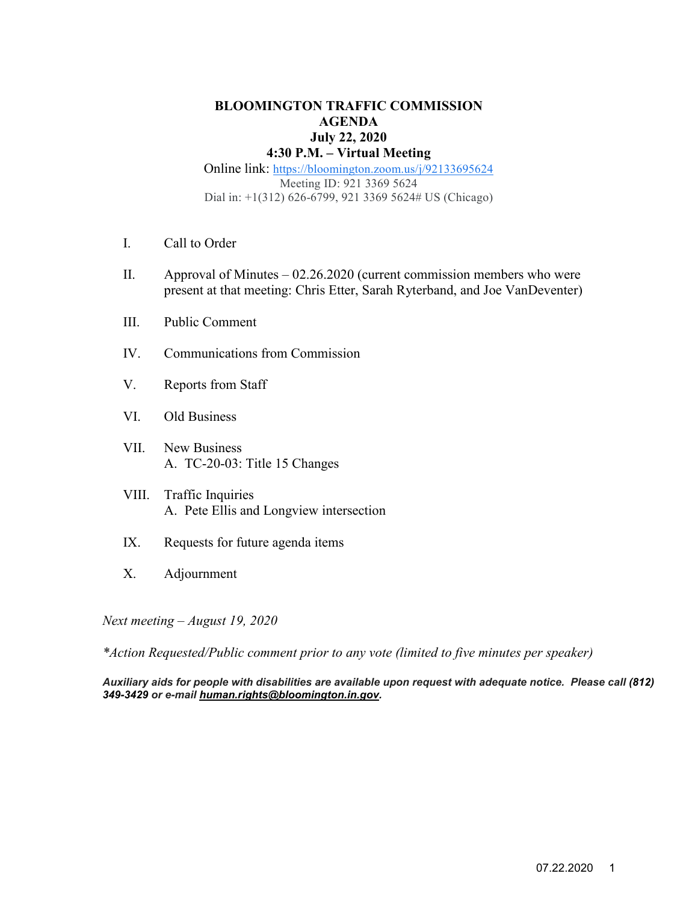#### **BLOOMINGTON TRAFFIC COMMISSION AGENDA July 22, 2020 4:30 P.M. – Virtual Meeting**

### Online link: [https://bloomington.zoom.us/j/92133695624](https://www.google.com/url?q=https://bloomington.zoom.us/j/92133695624&sa=D&source=calendar&ust=1594584355268000&usg=AOvVaw3t4jtu2XWPnDZFS8IAQsLP) Meeting ID: 921 3369 5624 Dial in: +1(312) 626-6799, 921 3369 5624# US (Chicago)

- I. Call to Order
- II. Approval of Minutes 02.26.2020 (current commission members who were present at that meeting: Chris Etter, Sarah Ryterband, and Joe VanDeventer)
- III. Public Comment
- IV. Communications from Commission
- V. Reports from Staff
- VI. Old Business
- VII. New Business A. TC-20-03: Title 15 Changes
- VIII. Traffic Inquiries A. Pete Ellis and Longview intersection
- IX. Requests for future agenda items
- X. Adjournment

*Next meeting – August 19, 2020* 

*\*Action Requested/Public comment prior to any vote (limited to five minutes per speaker)*

*Auxiliary aids for people with disabilities are available upon request with adequate notice. Please call [\(812\)](mailto:812)%20349-3429)  [349-3429](mailto:812)%20349-3429) or e-mail [human.rights@bloomington.in.gov.](mailto:human.rights@bloomington.in.gov)*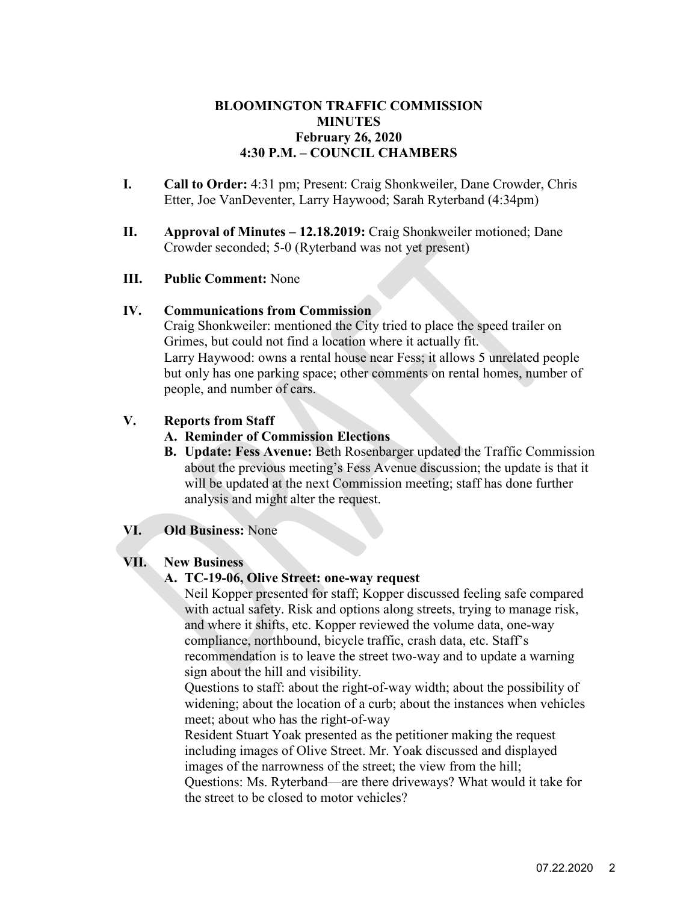### **BLOOMINGTON TRAFFIC COMMISSION MINUTES February 26, 2020 4:30 P.M. – COUNCIL CHAMBERS**

- **I. Call to Order:** 4:31 pm; Present: Craig Shonkweiler, Dane Crowder, Chris Etter, Joe VanDeventer, Larry Haywood; Sarah Ryterband (4:34pm)
- **II. Approval of Minutes 12.18.2019:** Craig Shonkweiler motioned; Dane Crowder seconded; 5-0 (Ryterband was not yet present)

### **III. Public Comment:** None

#### **IV. Communications from Commission**

Craig Shonkweiler: mentioned the City tried to place the speed trailer on Grimes, but could not find a location where it actually fit. Larry Haywood: owns a rental house near Fess; it allows 5 unrelated people but only has one parking space; other comments on rental homes, number of people, and number of cars.

### **V. Reports from Staff**

### **A. Reminder of Commission Elections**

**B. Update: Fess Avenue:** Beth Rosenbarger updated the Traffic Commission about the previous meeting's Fess Avenue discussion; the update is that it will be updated at the next Commission meeting; staff has done further analysis and might alter the request.

### **VI. Old Business:** None

### **VII. New Business**

#### **A. TC-19-06, Olive Street: one-way request**

Neil Kopper presented for staff; Kopper discussed feeling safe compared with actual safety. Risk and options along streets, trying to manage risk, and where it shifts, etc. Kopper reviewed the volume data, one-way compliance, northbound, bicycle traffic, crash data, etc. Staff's recommendation is to leave the street two-way and to update a warning sign about the hill and visibility.

Questions to staff: about the right-of-way width; about the possibility of widening; about the location of a curb; about the instances when vehicles meet; about who has the right-of-way

Resident Stuart Yoak presented as the petitioner making the request including images of Olive Street. Mr. Yoak discussed and displayed images of the narrowness of the street; the view from the hill;

Questions: Ms. Ryterband—are there driveways? What would it take for the street to be closed to motor vehicles?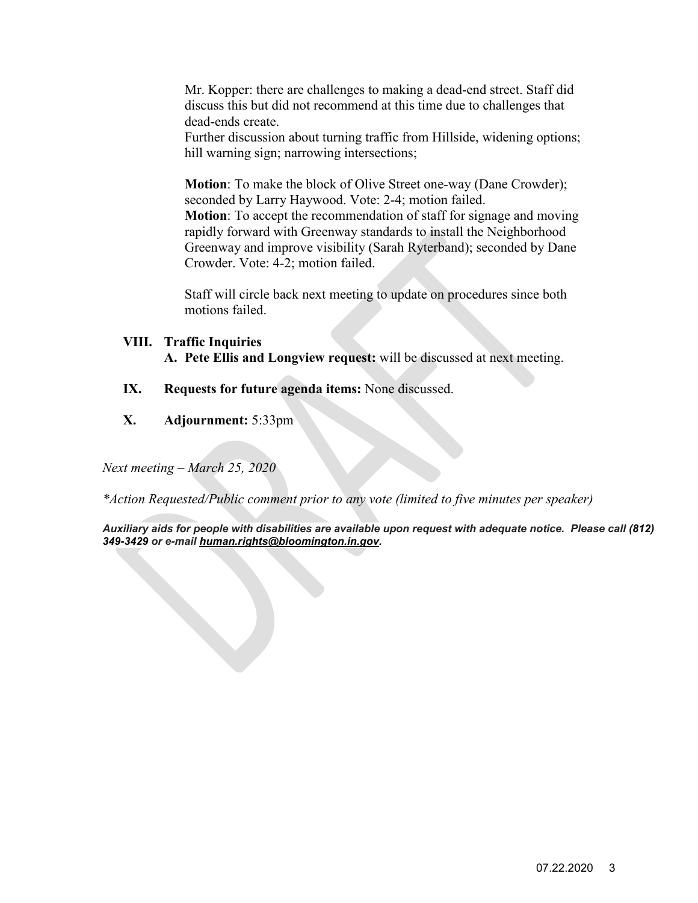Mr. Kopper: there are challenges to making a dead-end street. Staff did discuss this but did not recommend at this time due to challenges that dead-ends create.

Further discussion about turning traffic from Hillside, widening options; hill warning sign; narrowing intersections;

**Motion**: To make the block of Olive Street one-way (Dane Crowder); seconded by Larry Haywood. Vote: 2-4; motion failed. **Motion**: To accept the recommendation of staff for signage and moving rapidly forward with Greenway standards to install the Neighborhood Greenway and improve visibility (Sarah Ryterband); seconded by Dane Crowder. Vote: 4-2; motion failed.

Staff will circle back next meeting to update on procedures since both motions failed.

### **VIII. Traffic Inquiries**

**A. Pete Ellis and Longview request:** will be discussed at next meeting.

- **IX. Requests for future agenda items:** None discussed.
- **X. Adjournment:** 5:33pm

*Next meeting – March 25, 2020* 

*\*Action Requested/Public comment prior to any vote (limited to five minutes per speaker)* 

*Auxiliary aids for people with disabilities are available upon request with adequate notice. Please call [\(812\)](mailto:812)%20349-3429)  [349-3429](mailto:812)%20349-3429) or e-mail [human.rights@bloomington.in.gov.](mailto:human.rights@bloomington.in.gov)*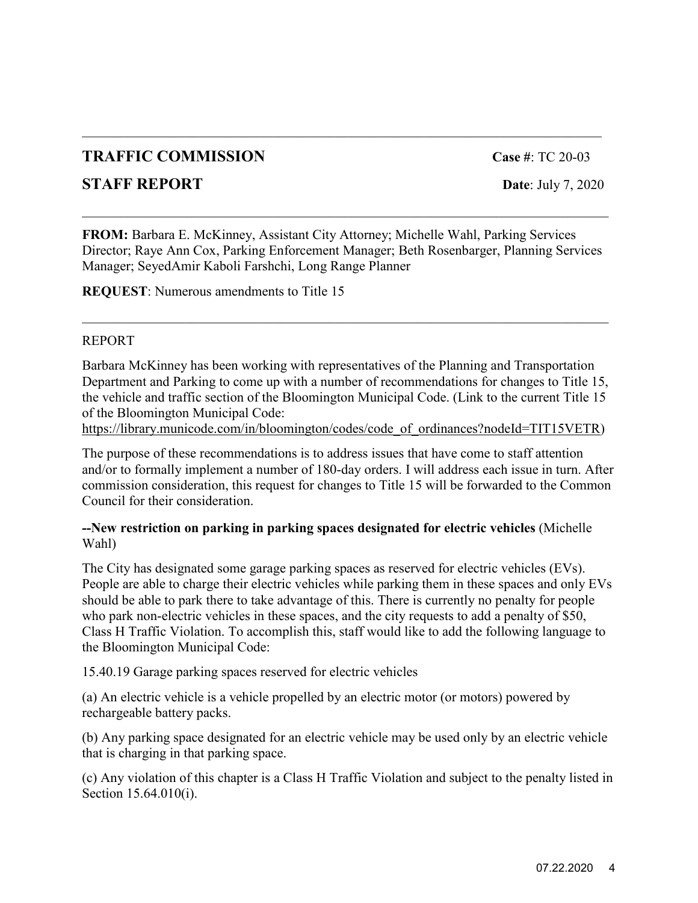# **TRAFFIC COMMISSION Case #**: TC 20-03

## **STAFF REPORT** Date: July 7, 2020

**FROM:** Barbara E. McKinney, Assistant City Attorney; Michelle Wahl, Parking Services Director; Raye Ann Cox, Parking Enforcement Manager; Beth Rosenbarger, Planning Services Manager; SeyedAmir Kaboli Farshchi, Long Range Planner

\_\_\_\_\_\_\_\_\_\_\_\_\_\_\_\_\_\_\_\_\_\_\_\_\_\_\_\_\_\_\_\_\_\_\_\_\_\_\_\_\_\_\_\_\_\_\_\_\_\_\_\_\_\_\_\_\_\_\_\_\_\_\_\_\_\_\_\_\_\_\_\_\_\_\_\_\_

**REQUEST**: Numerous amendments to Title 15

### REPORT

Barbara McKinney has been working with representatives of the Planning and Transportation Department and Parking to come up with a number of recommendations for changes to Title 15, the vehicle and traffic section of the Bloomington Municipal Code. (Link to the current Title 15 of the Bloomington Municipal Code:

\_\_\_\_\_\_\_\_\_\_\_\_\_\_\_\_\_\_\_\_\_\_\_\_\_\_\_\_\_\_\_\_\_\_\_\_\_\_\_\_\_\_\_\_\_\_\_\_\_\_\_\_\_\_\_\_\_\_\_\_\_\_\_\_\_\_\_\_\_\_\_\_\_\_\_\_\_

[https://library.municode.com/in/bloomington/codes/code\\_of\\_ordinances?nodeId=TIT15VETR\)](https://library.municode.com/in/bloomington/codes/code_of_ordinances?nodeId=TIT15VETR)

The purpose of these recommendations is to address issues that have come to staff attention and/or to formally implement a number of 180-day orders. I will address each issue in turn. After commission consideration, this request for changes to Title 15 will be forwarded to the Common Council for their consideration.

### **--New restriction on parking in parking spaces designated for electric vehicles** (Michelle Wahl)

The City has designated some garage parking spaces as reserved for electric vehicles (EVs). People are able to charge their electric vehicles while parking them in these spaces and only EVs should be able to park there to take advantage of this. There is currently no penalty for people who park non-electric vehicles in these spaces, and the city requests to add a penalty of \$50, Class H Traffic Violation. To accomplish this, staff would like to add the following language to the Bloomington Municipal Code:

15.40.19 Garage parking spaces reserved for electric vehicles

(a) An electric vehicle is a vehicle propelled by an electric motor (or motors) powered by rechargeable battery packs.

(b) Any parking space designated for an electric vehicle may be used only by an electric vehicle that is charging in that parking space.

(c) Any violation of this chapter is a Class H Traffic Violation and subject to the penalty listed in Section 15.64.010(i).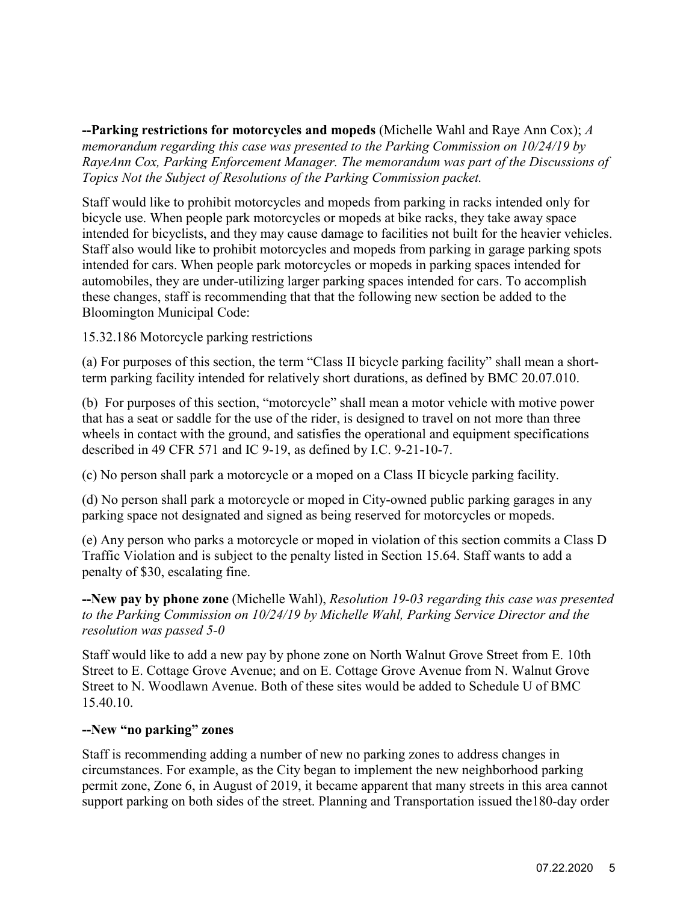**--Parking restrictions for motorcycles and mopeds** (Michelle Wahl and Raye Ann Cox); *A memorandum regarding this case was presented to the Parking Commission on 10/24/19 by RayeAnn Cox, Parking Enforcement Manager. The memorandum was part of the Discussions of Topics Not the Subject of Resolutions of the Parking Commission packet.*

Staff would like to prohibit motorcycles and mopeds from parking in racks intended only for bicycle use. When people park motorcycles or mopeds at bike racks, they take away space intended for bicyclists, and they may cause damage to facilities not built for the heavier vehicles. Staff also would like to prohibit motorcycles and mopeds from parking in garage parking spots intended for cars. When people park motorcycles or mopeds in parking spaces intended for automobiles, they are under-utilizing larger parking spaces intended for cars. To accomplish these changes, staff is recommending that that the following new section be added to the Bloomington Municipal Code:

#### 15.32.186 Motorcycle parking restrictions

(a) For purposes of this section, the term "Class II bicycle parking facility" shall mean a shortterm parking facility intended for relatively short durations, as defined by BMC 20.07.010.

(b) For purposes of this section, "motorcycle" shall mean a motor vehicle with motive power that has a seat or saddle for the use of the rider, is designed to travel on not more than three wheels in contact with the ground, and satisfies the operational and equipment specifications described in 49 CFR 571 and IC 9-19, as defined by I.C. 9-21-10-7.

(c) No person shall park a motorcycle or a moped on a Class II bicycle parking facility.

(d) No person shall park a motorcycle or moped in City-owned public parking garages in any parking space not designated and signed as being reserved for motorcycles or mopeds.

(e) Any person who parks a motorcycle or moped in violation of this section commits a Class D Traffic Violation and is subject to the penalty listed in Section 15.64. Staff wants to add a penalty of \$30, escalating fine.

**--New pay by phone zone** (Michelle Wahl), *Resolution 19-03 regarding this case was presented to the Parking Commission on 10/24/19 by Michelle Wahl, Parking Service Director and the resolution was passed 5-0*

Staff would like to add a new pay by phone zone on North Walnut Grove Street from E. 10th Street to E. Cottage Grove Avenue; and on E. Cottage Grove Avenue from N. Walnut Grove Street to N. Woodlawn Avenue. Both of these sites would be added to Schedule U of BMC 15.40.10.

#### **--New "no parking" zones**

Staff is recommending adding a number of new no parking zones to address changes in circumstances. For example, as the City began to implement the new neighborhood parking permit zone, Zone 6, in August of 2019, it became apparent that many streets in this area cannot support parking on both sides of the street. Planning and Transportation issued the180-day order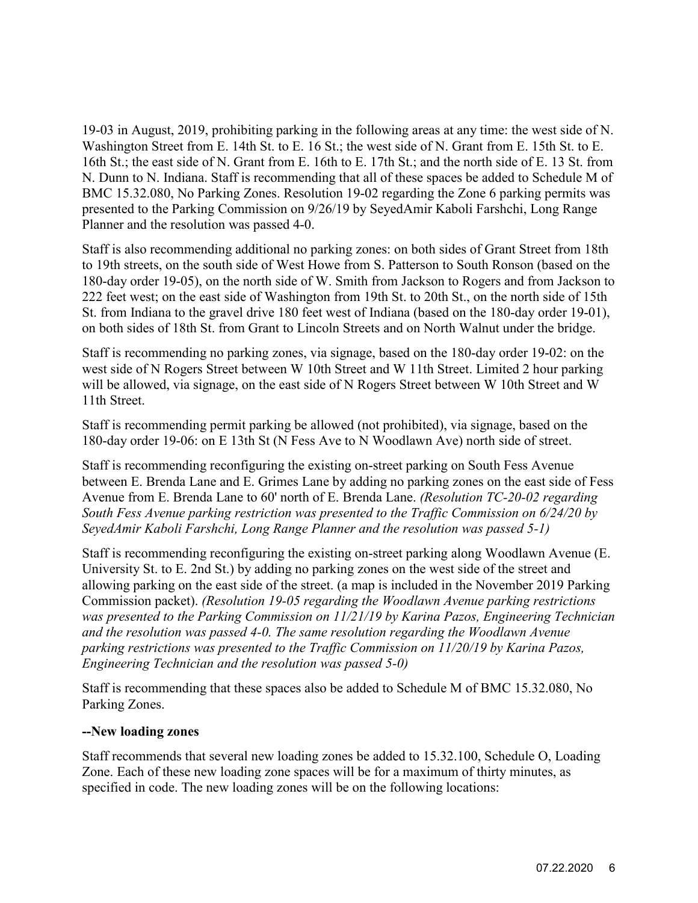19-03 in August, 2019, prohibiting parking in the following areas at any time: the west side of N. Washington Street from E. 14th St. to E. 16 St.; the west side of N. Grant from E. 15th St. to E. 16th St.; the east side of N. Grant from E. 16th to E. 17th St.; and the north side of E. 13 St. from N. Dunn to N. Indiana. Staff is recommending that all of these spaces be added to Schedule M of BMC 15.32.080, No Parking Zones. Resolution 19-02 regarding the Zone 6 parking permits was presented to the Parking Commission on 9/26/19 by SeyedAmir Kaboli Farshchi, Long Range Planner and the resolution was passed 4-0.

Staff is also recommending additional no parking zones: on both sides of Grant Street from 18th to 19th streets, on the south side of West Howe from S. Patterson to South Ronson (based on the 180-day order 19-05), on the north side of W. Smith from Jackson to Rogers and from Jackson to 222 feet west; on the east side of Washington from 19th St. to 20th St., on the north side of 15th St. from Indiana to the gravel drive 180 feet west of Indiana (based on the 180-day order 19-01), on both sides of 18th St. from Grant to Lincoln Streets and on North Walnut under the bridge.

Staff is recommending no parking zones, via signage, based on the 180-day order 19-02: on the west side of N Rogers Street between W 10th Street and W 11th Street. Limited 2 hour parking will be allowed, via signage, on the east side of N Rogers Street between W 10th Street and W 11th Street.

Staff is recommending permit parking be allowed (not prohibited), via signage, based on the 180-day order 19-06: on E 13th St (N Fess Ave to N Woodlawn Ave) north side of street.

Staff is recommending reconfiguring the existing on-street parking on South Fess Avenue between E. Brenda Lane and E. Grimes Lane by adding no parking zones on the east side of Fess Avenue from E. Brenda Lane to 60' north of E. Brenda Lane. *(Resolution TC-20-02 regarding South Fess Avenue parking restriction was presented to the Traffic Commission on 6/24/20 by SeyedAmir Kaboli Farshchi, Long Range Planner and the resolution was passed 5-1)*

Staff is recommending reconfiguring the existing on-street parking along Woodlawn Avenue (E. University St. to E. 2nd St.) by adding no parking zones on the west side of the street and allowing parking on the east side of the street. (a map is included in the November 2019 Parking Commission [packet\)](https://bloomington.in.gov/onboard/meetingFiles/download?meetingFile_id=5154). *(Resolution 19-05 regarding the Woodlawn Avenue parking restrictions was presented to the Parking Commission on 11/21/19 by Karina Pazos, Engineering Technician and the resolution was passed 4-0. The same resolution regarding the Woodlawn Avenue parking restrictions was presented to the Traffic Commission on 11/20/19 by Karina Pazos, Engineering Technician and the resolution was passed 5-0)*

Staff is recommending that these spaces also be added to Schedule M of BMC 15.32.080, No Parking Zones.

#### **--New loading zones**

Staff recommends that several new loading zones be added to 15.32.100, Schedule O, Loading Zone. Each of these new loading zone spaces will be for a maximum of thirty minutes, as specified in code. The new loading zones will be on the following locations: